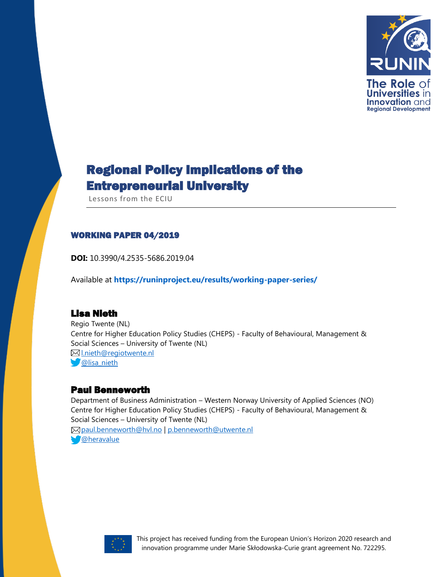

# Regional Policy Implications of the Entrepreneurial University

Lessons from the ECIU

#### WORKING PAPER 04/2019

**DOI:** 10.3990/4.2535-5686.2019.04

Available at **<https://runinproject.eu/results/working-paper-series/>**

### Lisa Nieth

Regio Twente (NL) Centre for Higher Education Policy Studies (CHEPS) - Faculty of Behavioural, Management & Social Sciences – University of Twente (NL) [l.nieth@regiotwente.nl](mailto:l.nieth@regiotwente.nl) **W**[@lisa\\_nieth](https://twitter.com/lisa_nieth)

### Paul Benneworth

Department of Business Administration – Western Norway University of Applied Sciences (NO) Centre for Higher Education Policy Studies (CHEPS) - Faculty of Behavioural, Management & Social Sciences – University of Twente (NL) [paul.benneworth@hvl.no](mailto:paul.benneworth@hvl.no) | [p.benneworth@utwente.nl](mailto:p.benneworth@utwente.nl) [@heravalue](https://twitter.com/heravalue)

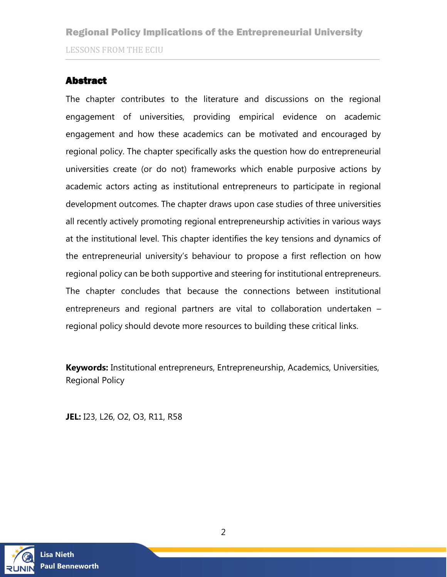### <span id="page-1-0"></span>Abstract

The chapter contributes to the literature and discussions on the regional engagement of universities, providing empirical evidence on academic engagement and how these academics can be motivated and encouraged by regional policy. The chapter specifically asks the question how do entrepreneurial universities create (or do not) frameworks which enable purposive actions by academic actors acting as institutional entrepreneurs to participate in regional development outcomes. The chapter draws upon case studies of three universities all recently actively promoting regional entrepreneurship activities in various ways at the institutional level. This chapter identifies the key tensions and dynamics of the entrepreneurial university's behaviour to propose a first reflection on how regional policy can be both supportive and steering for institutional entrepreneurs. The chapter concludes that because the connections between institutional entrepreneurs and regional partners are vital to collaboration undertaken – regional policy should devote more resources to building these critical links.

**Keywords:** Institutional entrepreneurs, Entrepreneurship, Academics, Universities, Regional Policy

**JEL:** I23, L26, O2, O3, R11, R58

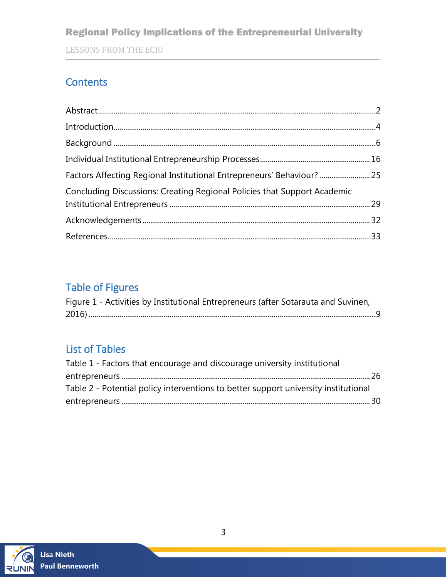### Regional Policy Implications of the Entrepreneurial University

LESSONS FROM THE ECIU

### **Contents**

| Factors Affecting Regional Institutional Entrepreneurs' Behaviour?  25   |  |
|--------------------------------------------------------------------------|--|
| Concluding Discussions: Creating Regional Policies that Support Academic |  |
|                                                                          |  |
|                                                                          |  |
|                                                                          |  |

# Table of Figures

| Figure 1 - Activities by Institutional Entrepreneurs (after Sotarauta and Suvinen, |  |
|------------------------------------------------------------------------------------|--|
|                                                                                    |  |

### List of Tables

| Table 1 - Factors that encourage and discourage university institutional            |  |
|-------------------------------------------------------------------------------------|--|
|                                                                                     |  |
| Table 2 - Potential policy interventions to better support university institutional |  |
|                                                                                     |  |

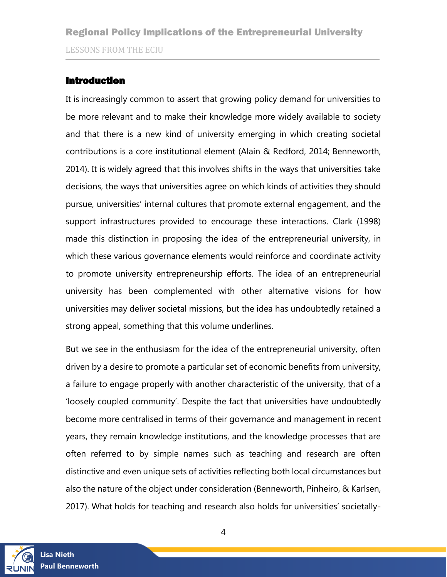### <span id="page-3-0"></span>Introduction

It is increasingly common to assert that growing policy demand for universities to be more relevant and to make their knowledge more widely available to society and that there is a new kind of university emerging in which creating societal contributions is a core institutional element (Alain & Redford, 2014; Benneworth, 2014). It is widely agreed that this involves shifts in the ways that universities take decisions, the ways that universities agree on which kinds of activities they should pursue, universities' internal cultures that promote external engagement, and the support infrastructures provided to encourage these interactions. Clark (1998) made this distinction in proposing the idea of the entrepreneurial university, in which these various governance elements would reinforce and coordinate activity to promote university entrepreneurship efforts. The idea of an entrepreneurial university has been complemented with other alternative visions for how universities may deliver societal missions, but the idea has undoubtedly retained a strong appeal, something that this volume underlines.

But we see in the enthusiasm for the idea of the entrepreneurial university, often driven by a desire to promote a particular set of economic benefits from university, a failure to engage properly with another characteristic of the university, that of a 'loosely coupled community'. Despite the fact that universities have undoubtedly become more centralised in terms of their governance and management in recent years, they remain knowledge institutions, and the knowledge processes that are often referred to by simple names such as teaching and research are often distinctive and even unique sets of activities reflecting both local circumstances but also the nature of the object under consideration (Benneworth, Pinheiro, & Karlsen, 2017). What holds for teaching and research also holds for universities' societally-

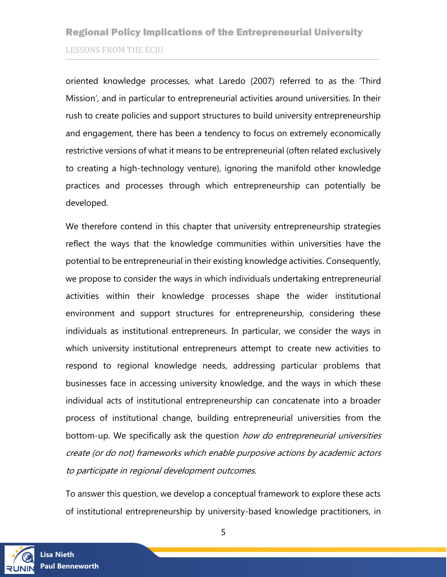oriented knowledge processes, what Laredo (2007) referred to as the 'Third Mission', and in particular to entrepreneurial activities around universities. In their rush to create policies and support structures to build university entrepreneurship and engagement, there has been a tendency to focus on extremely economically restrictive versions of what it means to be entrepreneurial (often related exclusively to creating a high-technology venture), ignoring the manifold other knowledge practices and processes through which entrepreneurship can potentially be developed.

We therefore contend in this chapter that university entrepreneurship strategies reflect the ways that the knowledge communities within universities have the potential to be entrepreneurial in their existing knowledge activities. Consequently, we propose to consider the ways in which individuals undertaking entrepreneurial activities within their knowledge processes shape the wider institutional environment and support structures for entrepreneurship, considering these individuals as institutional entrepreneurs. In particular, we consider the ways in which university institutional entrepreneurs attempt to create new activities to respond to regional knowledge needs, addressing particular problems that businesses face in accessing university knowledge, and the ways in which these individual acts of institutional entrepreneurship can concatenate into a broader process of institutional change, building entrepreneurial universities from the bottom-up. We specifically ask the question how do entrepreneurial universities create (or do not) frameworks which enable purposive actions by academic actors to participate in regional development outcomes.

To answer this question, we develop a conceptual framework to explore these acts of institutional entrepreneurship by university-based knowledge practitioners, in

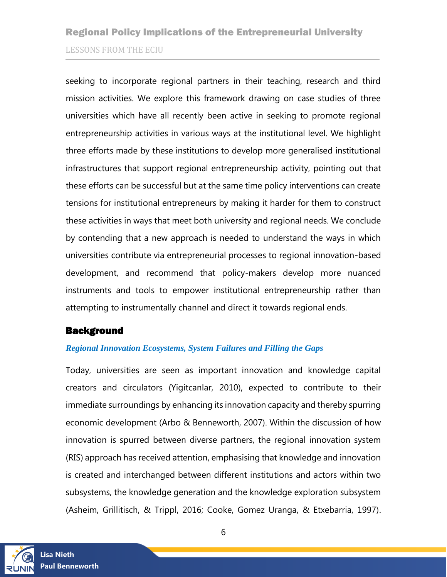seeking to incorporate regional partners in their teaching, research and third mission activities. We explore this framework drawing on case studies of three universities which have all recently been active in seeking to promote regional entrepreneurship activities in various ways at the institutional level. We highlight three efforts made by these institutions to develop more generalised institutional infrastructures that support regional entrepreneurship activity, pointing out that these efforts can be successful but at the same time policy interventions can create tensions for institutional entrepreneurs by making it harder for them to construct these activities in ways that meet both university and regional needs. We conclude by contending that a new approach is needed to understand the ways in which universities contribute via entrepreneurial processes to regional innovation-based development, and recommend that policy-makers develop more nuanced instruments and tools to empower institutional entrepreneurship rather than attempting to instrumentally channel and direct it towards regional ends.

### <span id="page-5-0"></span>**Background**

### *Regional Innovation Ecosystems, System Failures and Filling the Gaps*

Today, universities are seen as important innovation and knowledge capital creators and circulators (Yigitcanlar, 2010), expected to contribute to their immediate surroundings by enhancing its innovation capacity and thereby spurring economic development (Arbo & Benneworth, 2007). Within the discussion of how innovation is spurred between diverse partners, the regional innovation system (RIS) approach has received attention, emphasising that knowledge and innovation is created and interchanged between different institutions and actors within two subsystems, the knowledge generation and the knowledge exploration subsystem (Asheim, Grillitisch, & Trippl, 2016; Cooke, Gomez Uranga, & Etxebarria, 1997).

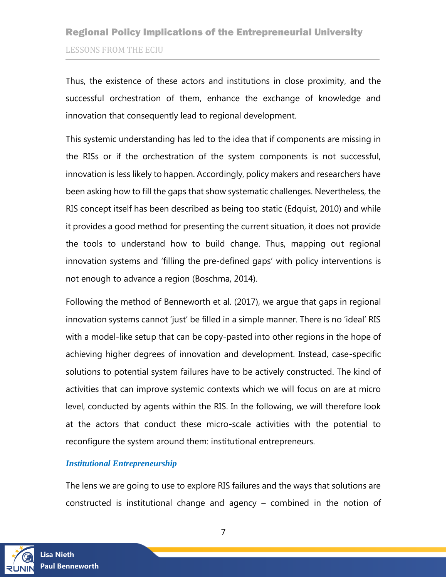Thus, the existence of these actors and institutions in close proximity, and the successful orchestration of them, enhance the exchange of knowledge and innovation that consequently lead to regional development.

This systemic understanding has led to the idea that if components are missing in the RISs or if the orchestration of the system components is not successful, innovation is less likely to happen. Accordingly, policy makers and researchers have been asking how to fill the gaps that show systematic challenges. Nevertheless, the RIS concept itself has been described as being too static (Edquist, 2010) and while it provides a good method for presenting the current situation, it does not provide the tools to understand how to build change. Thus, mapping out regional innovation systems and 'filling the pre-defined gaps' with policy interventions is not enough to advance a region (Boschma, 2014).

Following the method of Benneworth et al. (2017), we argue that gaps in regional innovation systems cannot 'just' be filled in a simple manner. There is no 'ideal' RIS with a model-like setup that can be copy-pasted into other regions in the hope of achieving higher degrees of innovation and development. Instead, case-specific solutions to potential system failures have to be actively constructed. The kind of activities that can improve systemic contexts which we will focus on are at micro level, conducted by agents within the RIS. In the following, we will therefore look at the actors that conduct these micro-scale activities with the potential to reconfigure the system around them: institutional entrepreneurs.

### *Institutional Entrepreneurship*

The lens we are going to use to explore RIS failures and the ways that solutions are constructed is institutional change and agency – combined in the notion of

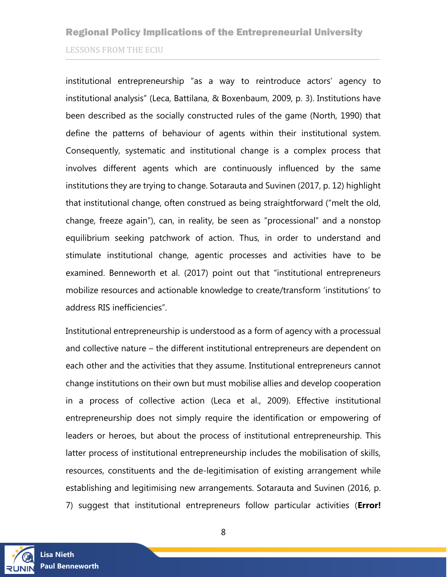institutional entrepreneurship "as a way to reintroduce actors' agency to institutional analysis" (Leca, Battilana, & Boxenbaum, 2009, p. 3). Institutions have been described as the socially constructed rules of the game (North, 1990) that define the patterns of behaviour of agents within their institutional system. Consequently, systematic and institutional change is a complex process that involves different agents which are continuously influenced by the same institutions they are trying to change. Sotarauta and Suvinen (2017, p. 12) highlight that institutional change, often construed as being straightforward ("melt the old, change, freeze again"), can, in reality, be seen as "processional" and a nonstop equilibrium seeking patchwork of action. Thus, in order to understand and stimulate institutional change, agentic processes and activities have to be examined. Benneworth et al. (2017) point out that "institutional entrepreneurs mobilize resources and actionable knowledge to create/transform 'institutions' to address RIS inefficiencies".

Institutional entrepreneurship is understood as a form of agency with a processual and collective nature – the different institutional entrepreneurs are dependent on each other and the activities that they assume. Institutional entrepreneurs cannot change institutions on their own but must mobilise allies and develop cooperation in a process of collective action (Leca et al., 2009). Effective institutional entrepreneurship does not simply require the identification or empowering of leaders or heroes, but about the process of institutional entrepreneurship. This latter process of institutional entrepreneurship includes the mobilisation of skills, resources, constituents and the de-legitimisation of existing arrangement while establishing and legitimising new arrangements. Sotarauta and Suvinen (2016, p. 7) suggest that institutional entrepreneurs follow particular activities (**Error!** 

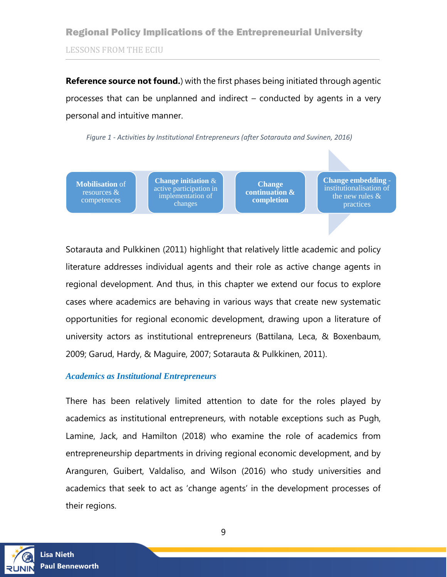**Reference source not found.**) with the first phases being initiated through agentic processes that can be unplanned and indirect – conducted by agents in a very personal and intuitive manner.

<span id="page-8-0"></span>*Figure 1 - Activities by Institutional Entrepreneurs (after Sotarauta and Suvinen, 2016)*



Sotarauta and Pulkkinen (2011) highlight that relatively little academic and policy literature addresses individual agents and their role as active change agents in regional development. And thus, in this chapter we extend our focus to explore cases where academics are behaving in various ways that create new systematic opportunities for regional economic development, drawing upon a literature of university actors as institutional entrepreneurs (Battilana, Leca, & Boxenbaum, 2009; Garud, Hardy, & Maguire, 2007; Sotarauta & Pulkkinen, 2011).

#### *Academics as Institutional Entrepreneurs*

There has been relatively limited attention to date for the roles played by academics as institutional entrepreneurs, with notable exceptions such as Pugh, Lamine, Jack, and Hamilton (2018) who examine the role of academics from entrepreneurship departments in driving regional economic development, and by Aranguren, Guibert, Valdaliso, and Wilson (2016) who study universities and academics that seek to act as 'change agents' in the development processes of their regions.

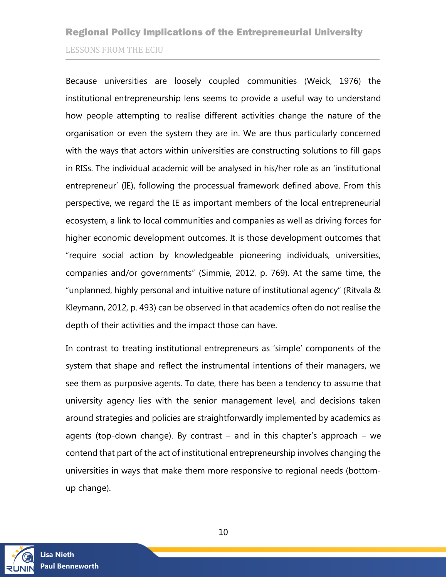Because universities are loosely coupled communities (Weick, 1976) the institutional entrepreneurship lens seems to provide a useful way to understand how people attempting to realise different activities change the nature of the organisation or even the system they are in. We are thus particularly concerned with the ways that actors within universities are constructing solutions to fill gaps in RISs. The individual academic will be analysed in his/her role as an 'institutional entrepreneur' (IE), following the processual framework defined above. From this perspective, we regard the IE as important members of the local entrepreneurial ecosystem, a link to local communities and companies as well as driving forces for higher economic development outcomes. It is those development outcomes that "require social action by knowledgeable pioneering individuals, universities, companies and/or governments" (Simmie, 2012, p. 769). At the same time, the "unplanned, highly personal and intuitive nature of institutional agency" (Ritvala & Kleymann, 2012, p. 493) can be observed in that academics often do not realise the depth of their activities and the impact those can have.

In contrast to treating institutional entrepreneurs as 'simple' components of the system that shape and reflect the instrumental intentions of their managers, we see them as purposive agents. To date, there has been a tendency to assume that university agency lies with the senior management level, and decisions taken around strategies and policies are straightforwardly implemented by academics as agents (top-down change). By contrast – and in this chapter's approach – we contend that part of the act of institutional entrepreneurship involves changing the universities in ways that make them more responsive to regional needs (bottomup change).

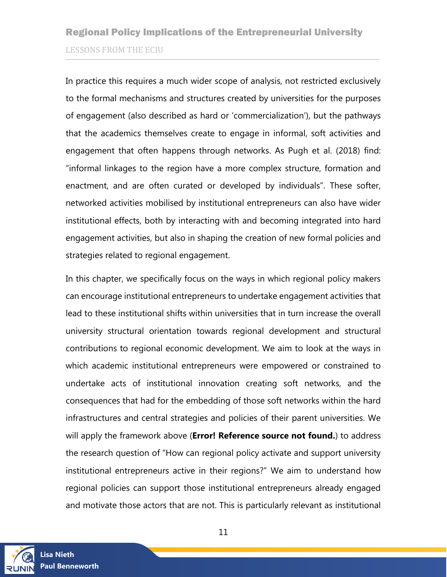In practice this requires a much wider scope of analysis, not restricted exclusively to the formal mechanisms and structures created by universities for the purposes of engagement (also described as hard or 'commercialization'), but the pathways that the academics themselves create to engage in informal, soft activities and engagement that often happens through networks. As Pugh et al. (2018) find: "informal linkages to the region have a more complex structure, formation and enactment, and are often curated or developed by individuals". These softer, networked activities mobilised by institutional entrepreneurs can also have wider institutional effects, both by interacting with and becoming integrated into hard engagement activities, but also in shaping the creation of new formal policies and strategies related to regional engagement.

In this chapter, we specifically focus on the ways in which regional policy makers can encourage institutional entrepreneurs to undertake engagement activities that lead to these institutional shifts within universities that in turn increase the overall university structural orientation towards regional development and structural contributions to regional economic development. We aim to look at the ways in which academic institutional entrepreneurs were empowered or constrained to undertake acts of institutional innovation creating soft networks, and the consequences that had for the embedding of those soft networks within the hard infrastructures and central strategies and policies of their parent universities. We will apply the framework above (**Error! Reference source not found.**) to address the research question of "How can regional policy activate and support university institutional entrepreneurs active in their regions?" We aim to understand how regional policies can support those institutional entrepreneurs already engaged and motivate those actors that are not. This is particularly relevant as institutional

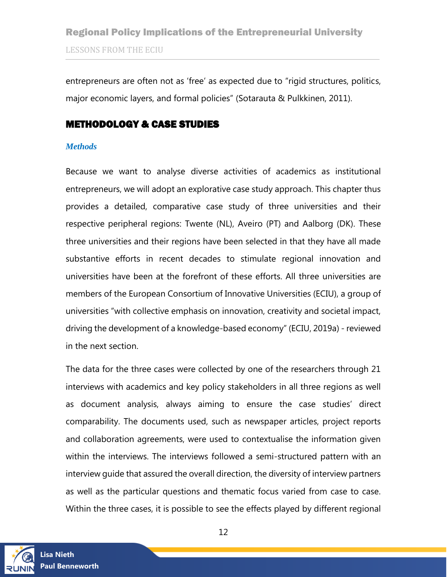entrepreneurs are often not as 'free' as expected due to "rigid structures, politics, major economic layers, and formal policies" (Sotarauta & Pulkkinen, 2011).

### METHODOLOGY & CASE STUDIES

#### *Methods*

Because we want to analyse diverse activities of academics as institutional entrepreneurs, we will adopt an explorative case study approach. This chapter thus provides a detailed, comparative case study of three universities and their respective peripheral regions: Twente (NL), Aveiro (PT) and Aalborg (DK). These three universities and their regions have been selected in that they have all made substantive efforts in recent decades to stimulate regional innovation and universities have been at the forefront of these efforts. All three universities are members of the European Consortium of Innovative Universities (ECIU), a group of universities "with collective emphasis on innovation, creativity and societal impact, driving the development of a knowledge-based economy" (ECIU, 2019a) - reviewed in the next section.

The data for the three cases were collected by one of the researchers through 21 interviews with academics and key policy stakeholders in all three regions as well as document analysis, always aiming to ensure the case studies' direct comparability. The documents used, such as newspaper articles, project reports and collaboration agreements, were used to contextualise the information given within the interviews. The interviews followed a semi-structured pattern with an interview guide that assured the overall direction, the diversity of interview partners as well as the particular questions and thematic focus varied from case to case. Within the three cases, it is possible to see the effects played by different regional

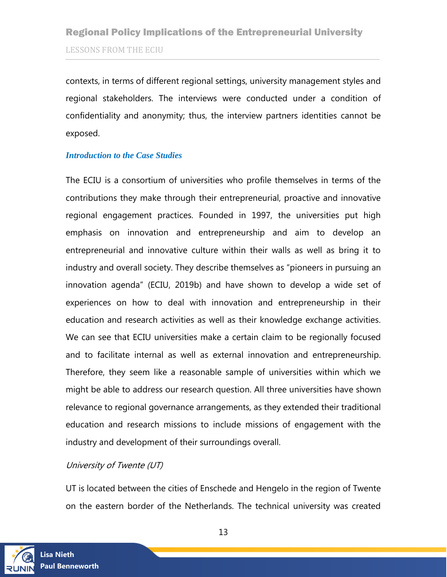contexts, in terms of different regional settings, university management styles and regional stakeholders. The interviews were conducted under a condition of confidentiality and anonymity; thus, the interview partners identities cannot be exposed.

#### *Introduction to the Case Studies*

The ECIU is a consortium of universities who profile themselves in terms of the contributions they make through their entrepreneurial, proactive and innovative regional engagement practices. Founded in 1997, the universities put high emphasis on innovation and entrepreneurship and aim to develop an entrepreneurial and innovative culture within their walls as well as bring it to industry and overall society. They describe themselves as "pioneers in pursuing an innovation agenda" (ECIU, 2019b) and have shown to develop a wide set of experiences on how to deal with innovation and entrepreneurship in their education and research activities as well as their knowledge exchange activities. We can see that ECIU universities make a certain claim to be regionally focused and to facilitate internal as well as external innovation and entrepreneurship. Therefore, they seem like a reasonable sample of universities within which we might be able to address our research question. All three universities have shown relevance to regional governance arrangements, as they extended their traditional education and research missions to include missions of engagement with the industry and development of their surroundings overall.

### University of Twente (UT)

UT is located between the cities of Enschede and Hengelo in the region of Twente on the eastern border of the Netherlands. The technical university was created

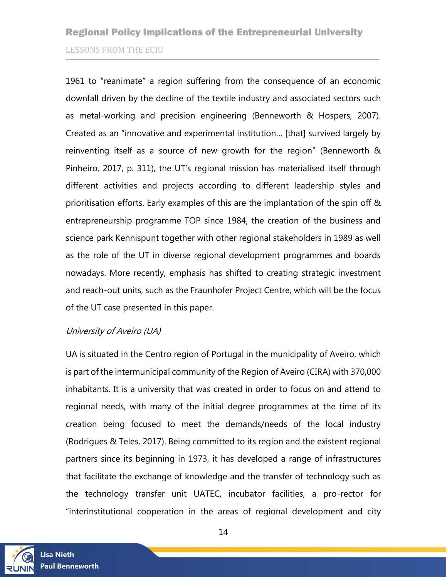1961 to "reanimate" a region suffering from the consequence of an economic downfall driven by the decline of the textile industry and associated sectors such as metal-working and precision engineering (Benneworth & Hospers, 2007). Created as an "innovative and experimental institution… [that] survived largely by reinventing itself as a source of new growth for the region" (Benneworth & Pinheiro, 2017, p. 311), the UT's regional mission has materialised itself through different activities and projects according to different leadership styles and prioritisation efforts. Early examples of this are the implantation of the spin off & entrepreneurship programme TOP since 1984, the creation of the business and science park Kennispunt together with other regional stakeholders in 1989 as well as the role of the UT in diverse regional development programmes and boards nowadays. More recently, emphasis has shifted to creating strategic investment and reach-out units, such as the Fraunhofer Project Centre, which will be the focus of the UT case presented in this paper.

#### University of Aveiro (UA)

UA is situated in the Centro region of Portugal in the municipality of Aveiro, which is part of the intermunicipal community of the Region of Aveiro (CIRA) with 370,000 inhabitants. It is a university that was created in order to focus on and attend to regional needs, with many of the initial degree programmes at the time of its creation being focused to meet the demands/needs of the local industry (Rodrigues & Teles, 2017). Being committed to its region and the existent regional partners since its beginning in 1973, it has developed a range of infrastructures that facilitate the exchange of knowledge and the transfer of technology such as the technology transfer unit UATEC, incubator facilities, a pro-rector for "interinstitutional cooperation in the areas of regional development and city

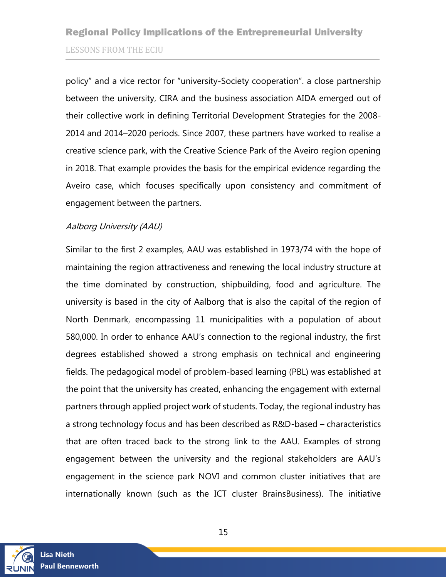policy" and a vice rector for "university-Society cooperation". a close partnership between the university, CIRA and the business association AIDA emerged out of their collective work in defining Territorial Development Strategies for the 2008- 2014 and 2014–2020 periods. Since 2007, these partners have worked to realise a creative science park, with the Creative Science Park of the Aveiro region opening in 2018. That example provides the basis for the empirical evidence regarding the Aveiro case, which focuses specifically upon consistency and commitment of engagement between the partners.

### Aalborg University (AAU)

Similar to the first 2 examples, AAU was established in 1973/74 with the hope of maintaining the region attractiveness and renewing the local industry structure at the time dominated by construction, shipbuilding, food and agriculture. The university is based in the city of Aalborg that is also the capital of the region of North Denmark, encompassing 11 municipalities with a population of about 580,000. In order to enhance AAU's connection to the regional industry, the first degrees established showed a strong emphasis on technical and engineering fields. The pedagogical model of problem-based learning (PBL) was established at the point that the university has created, enhancing the engagement with external partners through applied project work of students. Today, the regional industry has a strong technology focus and has been described as R&D-based – characteristics that are often traced back to the strong link to the AAU. Examples of strong engagement between the university and the regional stakeholders are AAU's engagement in the science park NOVI and common cluster initiatives that are internationally known (such as the ICT cluster BrainsBusiness). The initiative

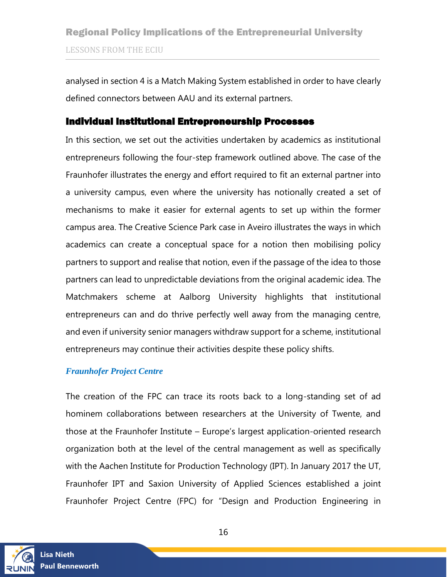analysed in section 4 is a Match Making System established in order to have clearly defined connectors between AAU and its external partners.

### <span id="page-15-0"></span>Individual Institutional Entrepreneurship Processes

In this section, we set out the activities undertaken by academics as institutional entrepreneurs following the four-step framework outlined above. The case of the Fraunhofer illustrates the energy and effort required to fit an external partner into a university campus, even where the university has notionally created a set of mechanisms to make it easier for external agents to set up within the former campus area. The Creative Science Park case in Aveiro illustrates the ways in which academics can create a conceptual space for a notion then mobilising policy partners to support and realise that notion, even if the passage of the idea to those partners can lead to unpredictable deviations from the original academic idea. The Matchmakers scheme at Aalborg University highlights that institutional entrepreneurs can and do thrive perfectly well away from the managing centre, and even if university senior managers withdraw support for a scheme, institutional entrepreneurs may continue their activities despite these policy shifts.

#### *Fraunhofer Project Centre*

The creation of the FPC can trace its roots back to a long-standing set of ad hominem collaborations between researchers at the University of Twente, and those at the Fraunhofer Institute – Europe's largest application-oriented research organization both at the level of the central management as well as specifically with the Aachen Institute for Production Technology (IPT). In January 2017 the UT, Fraunhofer IPT and Saxion University of Applied Sciences established a joint Fraunhofer Project Centre (FPC) for "Design and Production Engineering in

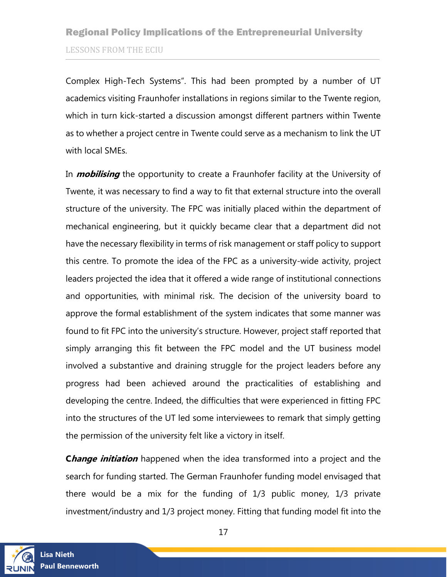Complex High-Tech Systems". This had been prompted by a number of UT academics visiting Fraunhofer installations in regions similar to the Twente region, which in turn kick-started a discussion amongst different partners within Twente as to whether a project centre in Twente could serve as a mechanism to link the UT with local SMEs.

In **mobilising** the opportunity to create a Fraunhofer facility at the University of Twente, it was necessary to find a way to fit that external structure into the overall structure of the university. The FPC was initially placed within the department of mechanical engineering, but it quickly became clear that a department did not have the necessary flexibility in terms of risk management or staff policy to support this centre. To promote the idea of the FPC as a university-wide activity, project leaders projected the idea that it offered a wide range of institutional connections and opportunities, with minimal risk. The decision of the university board to approve the formal establishment of the system indicates that some manner was found to fit FPC into the university's structure. However, project staff reported that simply arranging this fit between the FPC model and the UT business model involved a substantive and draining struggle for the project leaders before any progress had been achieved around the practicalities of establishing and developing the centre. Indeed, the difficulties that were experienced in fitting FPC into the structures of the UT led some interviewees to remark that simply getting the permission of the university felt like a victory in itself.

**Change initiation** happened when the idea transformed into a project and the search for funding started. The German Fraunhofer funding model envisaged that there would be a mix for the funding of 1/3 public money, 1/3 private investment/industry and 1/3 project money. Fitting that funding model fit into the

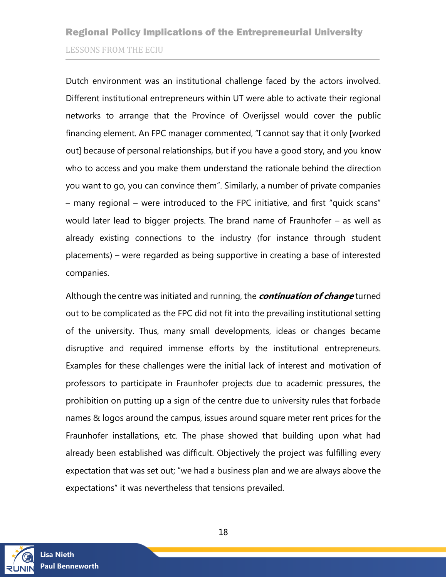Dutch environment was an institutional challenge faced by the actors involved. Different institutional entrepreneurs within UT were able to activate their regional networks to arrange that the Province of Overijssel would cover the public financing element. An FPC manager commented, "I cannot say that it only [worked out] because of personal relationships, but if you have a good story, and you know who to access and you make them understand the rationale behind the direction you want to go, you can convince them". Similarly, a number of private companies – many regional – were introduced to the FPC initiative, and first "quick scans" would later lead to bigger projects. The brand name of Fraunhofer – as well as already existing connections to the industry (for instance through student placements) – were regarded as being supportive in creating a base of interested companies.

Although the centre was initiated and running, the **continuation of change** turned out to be complicated as the FPC did not fit into the prevailing institutional setting of the university. Thus, many small developments, ideas or changes became disruptive and required immense efforts by the institutional entrepreneurs. Examples for these challenges were the initial lack of interest and motivation of professors to participate in Fraunhofer projects due to academic pressures, the prohibition on putting up a sign of the centre due to university rules that forbade names & logos around the campus, issues around square meter rent prices for the Fraunhofer installations, etc. The phase showed that building upon what had already been established was difficult. Objectively the project was fulfilling every expectation that was set out; "we had a business plan and we are always above the expectations" it was nevertheless that tensions prevailed.

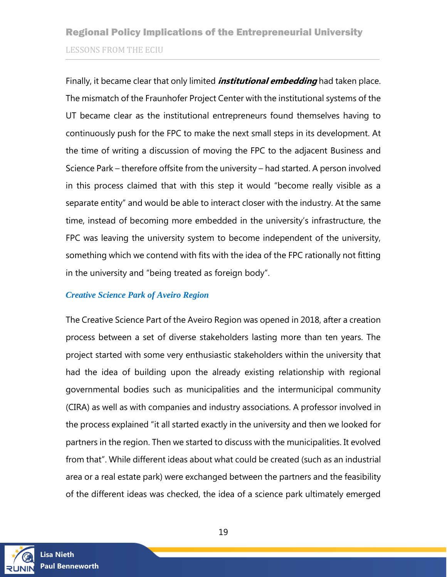Finally, it became clear that only limited **institutional embedding** had taken place. The mismatch of the Fraunhofer Project Center with the institutional systems of the UT became clear as the institutional entrepreneurs found themselves having to continuously push for the FPC to make the next small steps in its development. At the time of writing a discussion of moving the FPC to the adjacent Business and Science Park – therefore offsite from the university – had started. A person involved in this process claimed that with this step it would "become really visible as a separate entity" and would be able to interact closer with the industry. At the same time, instead of becoming more embedded in the university's infrastructure, the FPC was leaving the university system to become independent of the university, something which we contend with fits with the idea of the FPC rationally not fitting in the university and "being treated as foreign body".

### *Creative Science Park of Aveiro Region*

The Creative Science Part of the Aveiro Region was opened in 2018, after a creation process between a set of diverse stakeholders lasting more than ten years. The project started with some very enthusiastic stakeholders within the university that had the idea of building upon the already existing relationship with regional governmental bodies such as municipalities and the intermunicipal community (CIRA) as well as with companies and industry associations. A professor involved in the process explained "it all started exactly in the university and then we looked for partners in the region. Then we started to discuss with the municipalities. It evolved from that". While different ideas about what could be created (such as an industrial area or a real estate park) were exchanged between the partners and the feasibility of the different ideas was checked, the idea of a science park ultimately emerged

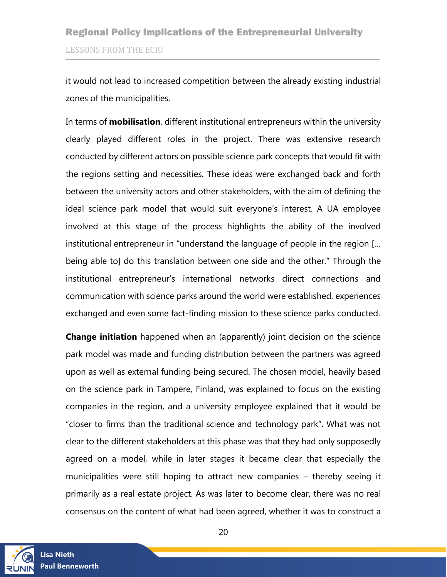it would not lead to increased competition between the already existing industrial zones of the municipalities.

In terms of **mobilisation**, different institutional entrepreneurs within the university clearly played different roles in the project. There was extensive research conducted by different actors on possible science park concepts that would fit with the regions setting and necessities. These ideas were exchanged back and forth between the university actors and other stakeholders, with the aim of defining the ideal science park model that would suit everyone's interest. A UA employee involved at this stage of the process highlights the ability of the involved institutional entrepreneur in "understand the language of people in the region [… being able to] do this translation between one side and the other." Through the institutional entrepreneur's international networks direct connections and communication with science parks around the world were established, experiences exchanged and even some fact-finding mission to these science parks conducted.

**Change initiation** happened when an (apparently) joint decision on the science park model was made and funding distribution between the partners was agreed upon as well as external funding being secured. The chosen model, heavily based on the science park in Tampere, Finland, was explained to focus on the existing companies in the region, and a university employee explained that it would be "closer to firms than the traditional science and technology park". What was not clear to the different stakeholders at this phase was that they had only supposedly agreed on a model, while in later stages it became clear that especially the municipalities were still hoping to attract new companies – thereby seeing it primarily as a real estate project. As was later to become clear, there was no real consensus on the content of what had been agreed, whether it was to construct a

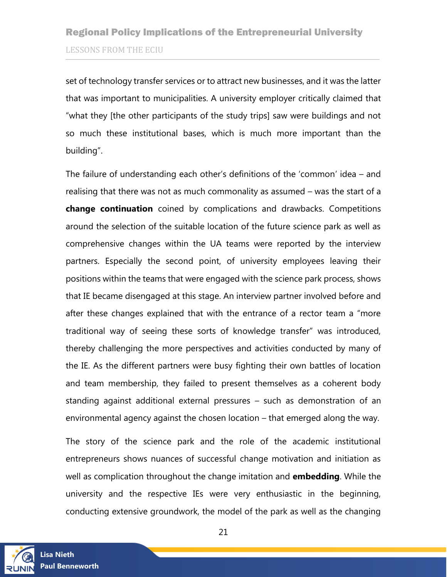set of technology transfer services or to attract new businesses, and it was the latter that was important to municipalities. A university employer critically claimed that "what they [the other participants of the study trips] saw were buildings and not so much these institutional bases, which is much more important than the building".

The failure of understanding each other's definitions of the 'common' idea – and realising that there was not as much commonality as assumed – was the start of a **change continuation** coined by complications and drawbacks. Competitions around the selection of the suitable location of the future science park as well as comprehensive changes within the UA teams were reported by the interview partners. Especially the second point, of university employees leaving their positions within the teams that were engaged with the science park process, shows that IE became disengaged at this stage. An interview partner involved before and after these changes explained that with the entrance of a rector team a "more traditional way of seeing these sorts of knowledge transfer" was introduced, thereby challenging the more perspectives and activities conducted by many of the IE. As the different partners were busy fighting their own battles of location and team membership, they failed to present themselves as a coherent body standing against additional external pressures – such as demonstration of an environmental agency against the chosen location – that emerged along the way.

The story of the science park and the role of the academic institutional entrepreneurs shows nuances of successful change motivation and initiation as well as complication throughout the change imitation and **embedding**. While the university and the respective IEs were very enthusiastic in the beginning, conducting extensive groundwork, the model of the park as well as the changing

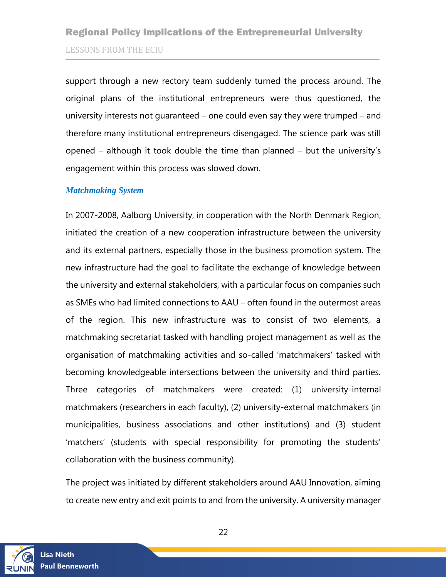support through a new rectory team suddenly turned the process around. The original plans of the institutional entrepreneurs were thus questioned, the university interests not guaranteed – one could even say they were trumped – and therefore many institutional entrepreneurs disengaged. The science park was still opened – although it took double the time than planned – but the university's engagement within this process was slowed down.

#### *Matchmaking System*

In 2007-2008, Aalborg University, in cooperation with the North Denmark Region, initiated the creation of a new cooperation infrastructure between the university and its external partners, especially those in the business promotion system. The new infrastructure had the goal to facilitate the exchange of knowledge between the university and external stakeholders, with a particular focus on companies such as SMEs who had limited connections to AAU – often found in the outermost areas of the region. This new infrastructure was to consist of two elements, a matchmaking secretariat tasked with handling project management as well as the organisation of matchmaking activities and so-called 'matchmakers' tasked with becoming knowledgeable intersections between the university and third parties. Three categories of matchmakers were created: (1) university-internal matchmakers (researchers in each faculty), (2) university-external matchmakers (in municipalities, business associations and other institutions) and (3) student 'matchers' (students with special responsibility for promoting the students' collaboration with the business community).

The project was initiated by different stakeholders around AAU Innovation, aiming to create new entry and exit points to and from the university. A university manager

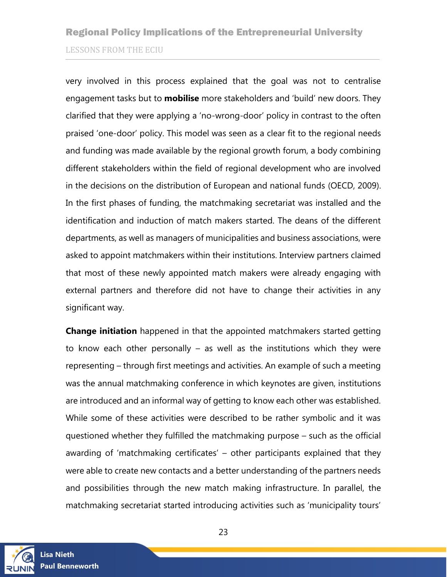very involved in this process explained that the goal was not to centralise engagement tasks but to **mobilise** more stakeholders and 'build' new doors. They clarified that they were applying a 'no-wrong-door' policy in contrast to the often praised 'one-door' policy. This model was seen as a clear fit to the regional needs and funding was made available by the regional growth forum, a body combining different stakeholders within the field of regional development who are involved in the decisions on the distribution of European and national funds (OECD, 2009). In the first phases of funding, the matchmaking secretariat was installed and the identification and induction of match makers started. The deans of the different departments, as well as managers of municipalities and business associations, were asked to appoint matchmakers within their institutions. Interview partners claimed that most of these newly appointed match makers were already engaging with external partners and therefore did not have to change their activities in any significant way.

**Change initiation** happened in that the appointed matchmakers started getting to know each other personally – as well as the institutions which they were representing – through first meetings and activities. An example of such a meeting was the annual matchmaking conference in which keynotes are given, institutions are introduced and an informal way of getting to know each other was established. While some of these activities were described to be rather symbolic and it was questioned whether they fulfilled the matchmaking purpose – such as the official awarding of 'matchmaking certificates' – other participants explained that they were able to create new contacts and a better understanding of the partners needs and possibilities through the new match making infrastructure. In parallel, the matchmaking secretariat started introducing activities such as 'municipality tours'

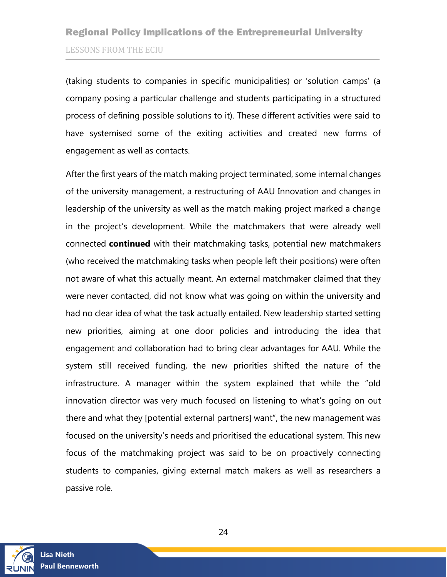(taking students to companies in specific municipalities) or 'solution camps' (a company posing a particular challenge and students participating in a structured process of defining possible solutions to it). These different activities were said to have systemised some of the exiting activities and created new forms of engagement as well as contacts.

After the first years of the match making project terminated, some internal changes of the university management, a restructuring of AAU Innovation and changes in leadership of the university as well as the match making project marked a change in the project's development. While the matchmakers that were already well connected **continued** with their matchmaking tasks, potential new matchmakers (who received the matchmaking tasks when people left their positions) were often not aware of what this actually meant. An external matchmaker claimed that they were never contacted, did not know what was going on within the university and had no clear idea of what the task actually entailed. New leadership started setting new priorities, aiming at one door policies and introducing the idea that engagement and collaboration had to bring clear advantages for AAU. While the system still received funding, the new priorities shifted the nature of the infrastructure. A manager within the system explained that while the "old innovation director was very much focused on listening to what's going on out there and what they [potential external partners] want", the new management was focused on the university's needs and prioritised the educational system. This new focus of the matchmaking project was said to be on proactively connecting students to companies, giving external match makers as well as researchers a passive role.

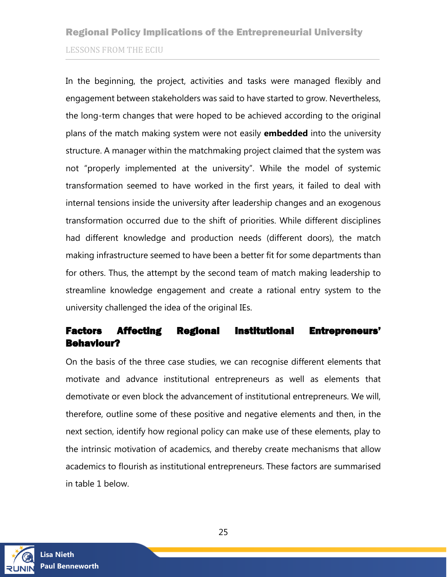In the beginning, the project, activities and tasks were managed flexibly and engagement between stakeholders was said to have started to grow. Nevertheless, the long-term changes that were hoped to be achieved according to the original plans of the match making system were not easily **embedded** into the university structure. A manager within the matchmaking project claimed that the system was not "properly implemented at the university". While the model of systemic transformation seemed to have worked in the first years, it failed to deal with internal tensions inside the university after leadership changes and an exogenous transformation occurred due to the shift of priorities. While different disciplines had different knowledge and production needs (different doors), the match making infrastructure seemed to have been a better fit for some departments than for others. Thus, the attempt by the second team of match making leadership to streamline knowledge engagement and create a rational entry system to the university challenged the idea of the original IEs.

### <span id="page-24-0"></span>Factors Affecting Regional Institutional Entrepreneurs' Behaviour?

On the basis of the three case studies, we can recognise different elements that motivate and advance institutional entrepreneurs as well as elements that demotivate or even block the advancement of institutional entrepreneurs. We will, therefore, outline some of these positive and negative elements and then, in the next section, identify how regional policy can make use of these elements, play to the intrinsic motivation of academics, and thereby create mechanisms that allow academics to flourish as institutional entrepreneurs. These factors are summarised in table 1 below.

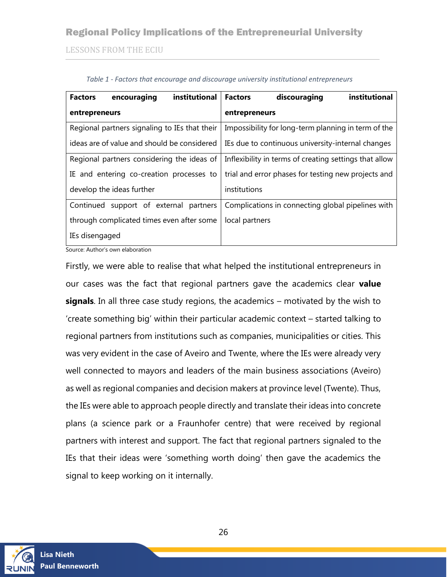### Regional Policy Implications of the Entrepreneurial University

LESSONS FROM THE ECIU

<span id="page-25-0"></span>

| institutional<br><b>Factors</b><br>encouraging | institutional<br>discouraging<br><b>Factors</b>        |
|------------------------------------------------|--------------------------------------------------------|
| entrepreneurs                                  | entrepreneurs                                          |
| Regional partners signaling to IEs that their  | Impossibility for long-term planning in term of the    |
| ideas are of value and should be considered    | IEs due to continuous university-internal changes      |
| Regional partners considering the ideas of     | Inflexibility in terms of creating settings that allow |
| IE and entering co-creation processes to       | trial and error phases for testing new projects and    |
| develop the ideas further                      | institutions                                           |
| support of external partners<br>Continued      | Complications in connecting global pipelines with      |
| through complicated times even after some      | local partners                                         |
| IEs disengaged                                 |                                                        |

|  | Table 1 - Factors that encourage and discourage university institutional entrepreneurs |  |
|--|----------------------------------------------------------------------------------------|--|
|  |                                                                                        |  |

Source: Author's own elaboration

Firstly, we were able to realise that what helped the institutional entrepreneurs in our cases was the fact that regional partners gave the academics clear **value signals**. In all three case study regions, the academics – motivated by the wish to 'create something big' within their particular academic context – started talking to regional partners from institutions such as companies, municipalities or cities. This was very evident in the case of Aveiro and Twente, where the IEs were already very well connected to mayors and leaders of the main business associations (Aveiro) as well as regional companies and decision makers at province level (Twente). Thus, the IEs were able to approach people directly and translate their ideas into concrete plans (a science park or a Fraunhofer centre) that were received by regional partners with interest and support. The fact that regional partners signaled to the IEs that their ideas were 'something worth doing' then gave the academics the signal to keep working on it internally.

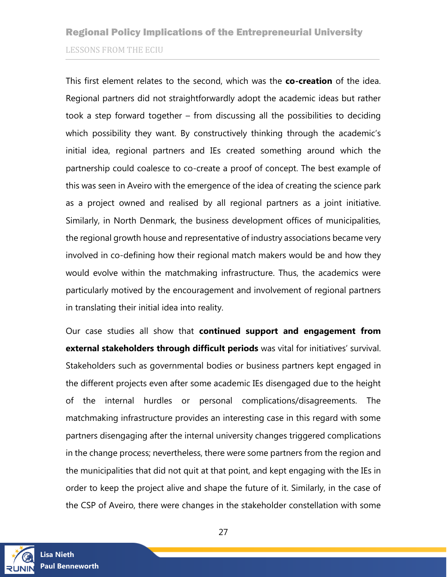This first element relates to the second, which was the **co-creation** of the idea. Regional partners did not straightforwardly adopt the academic ideas but rather took a step forward together – from discussing all the possibilities to deciding which possibility they want. By constructively thinking through the academic's initial idea, regional partners and IEs created something around which the partnership could coalesce to co-create a proof of concept. The best example of this was seen in Aveiro with the emergence of the idea of creating the science park as a project owned and realised by all regional partners as a joint initiative. Similarly, in North Denmark, the business development offices of municipalities, the regional growth house and representative of industry associations became very involved in co-defining how their regional match makers would be and how they would evolve within the matchmaking infrastructure. Thus, the academics were particularly motived by the encouragement and involvement of regional partners in translating their initial idea into reality.

Our case studies all show that **continued support and engagement from external stakeholders through difficult periods** was vital for initiatives' survival. Stakeholders such as governmental bodies or business partners kept engaged in the different projects even after some academic IEs disengaged due to the height of the internal hurdles or personal complications/disagreements. The matchmaking infrastructure provides an interesting case in this regard with some partners disengaging after the internal university changes triggered complications in the change process; nevertheless, there were some partners from the region and the municipalities that did not quit at that point, and kept engaging with the IEs in order to keep the project alive and shape the future of it. Similarly, in the case of the CSP of Aveiro, there were changes in the stakeholder constellation with some

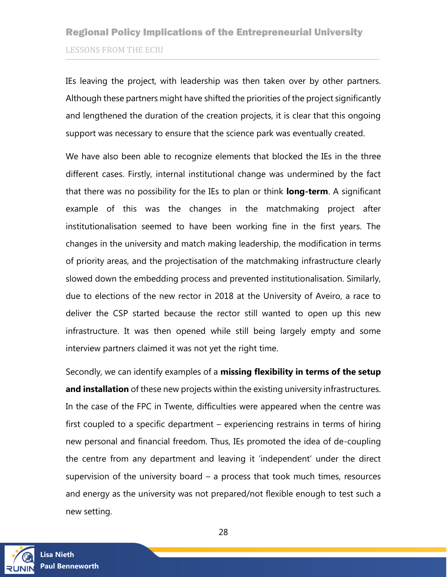IEs leaving the project, with leadership was then taken over by other partners. Although these partners might have shifted the priorities of the project significantly and lengthened the duration of the creation projects, it is clear that this ongoing support was necessary to ensure that the science park was eventually created.

We have also been able to recognize elements that blocked the IEs in the three different cases. Firstly, internal institutional change was undermined by the fact that there was no possibility for the IEs to plan or think **long-term**. A significant example of this was the changes in the matchmaking project after institutionalisation seemed to have been working fine in the first years. The changes in the university and match making leadership, the modification in terms of priority areas, and the projectisation of the matchmaking infrastructure clearly slowed down the embedding process and prevented institutionalisation. Similarly, due to elections of the new rector in 2018 at the University of Aveiro, a race to deliver the CSP started because the rector still wanted to open up this new infrastructure. It was then opened while still being largely empty and some interview partners claimed it was not yet the right time.

Secondly, we can identify examples of a **missing flexibility in terms of the setup and installation** of these new projects within the existing university infrastructures. In the case of the FPC in Twente, difficulties were appeared when the centre was first coupled to a specific department – experiencing restrains in terms of hiring new personal and financial freedom. Thus, IEs promoted the idea of de-coupling the centre from any department and leaving it 'independent' under the direct supervision of the university board – a process that took much times, resources and energy as the university was not prepared/not flexible enough to test such a new setting.

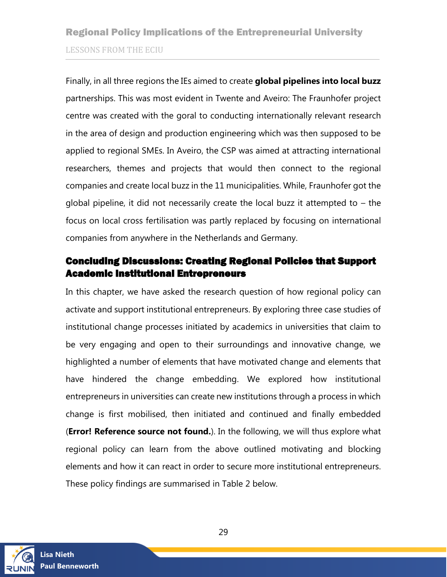Finally, in all three regions the IEs aimed to create **global pipelines into local buzz** partnerships. This was most evident in Twente and Aveiro: The Fraunhofer project centre was created with the goral to conducting internationally relevant research in the area of design and production engineering which was then supposed to be applied to regional SMEs. In Aveiro, the CSP was aimed at attracting international researchers, themes and projects that would then connect to the regional companies and create local buzz in the 11 municipalities. While, Fraunhofer got the global pipeline, it did not necessarily create the local buzz it attempted to – the focus on local cross fertilisation was partly replaced by focusing on international companies from anywhere in the Netherlands and Germany.

### <span id="page-28-0"></span>Concluding Discussions: Creating Regional Policies that Support Academic Institutional Entrepreneurs

In this chapter, we have asked the research question of how regional policy can activate and support institutional entrepreneurs. By exploring three case studies of institutional change processes initiated by academics in universities that claim to be very engaging and open to their surroundings and innovative change, we highlighted a number of elements that have motivated change and elements that have hindered the change embedding. We explored how institutional entrepreneurs in universities can create new institutions through a process in which change is first mobilised, then initiated and continued and finally embedded (**Error! Reference source not found.**). In the following, we will thus explore what regional policy can learn from the above outlined motivating and blocking elements and how it can react in order to secure more institutional entrepreneurs. These policy findings are summarised in Table 2 below.

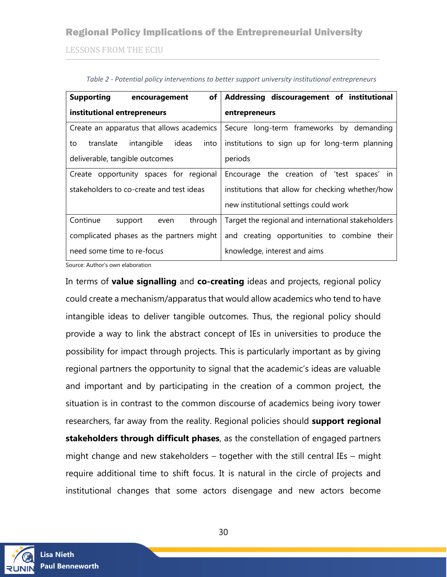### Regional Policy Implications of the Entrepreneurial University

LESSONS FROM THE ECIU

<span id="page-29-0"></span>

| <b>Supporting</b><br>encouragement                                                   | of   Addressing discouragement of institutional    |  |
|--------------------------------------------------------------------------------------|----------------------------------------------------|--|
| institutional entrepreneurs                                                          | entrepreneurs                                      |  |
| Create an apparatus that allows academics                                            | Secure long-term frameworks by demanding           |  |
| ideas<br>translate<br>intangible<br>into<br>to                                       | institutions to sign up for long-term planning     |  |
| deliverable, tangible outcomes                                                       | periods                                            |  |
| Create opportunity spaces for regional<br>Encourage the creation of 'test spaces' in |                                                    |  |
| stakeholders to co-create and test ideas                                             | institutions that allow for checking whether/how   |  |
|                                                                                      | new institutional settings could work              |  |
| Continue<br>through<br>support<br>even                                               | Target the regional and international stakeholders |  |
| complicated phases as the partners might                                             | and creating opportunities to combine their        |  |
| need some time to re-focus                                                           | knowledge, interest and aims                       |  |

*Table 2 - Potential policy interventions to better support university institutional entrepreneurs*

Source: Author's own elaboration

In terms of **value signalling** and **co-creating** ideas and projects, regional policy could create a mechanism/apparatus that would allow academics who tend to have intangible ideas to deliver tangible outcomes. Thus, the regional policy should provide a way to link the abstract concept of IEs in universities to produce the possibility for impact through projects. This is particularly important as by giving regional partners the opportunity to signal that the academic's ideas are valuable and important and by participating in the creation of a common project, the situation is in contrast to the common discourse of academics being ivory tower researchers, far away from the reality. Regional policies should **support regional stakeholders through difficult phases**, as the constellation of engaged partners might change and new stakeholders – together with the still central IEs – might require additional time to shift focus. It is natural in the circle of projects and institutional changes that some actors disengage and new actors become

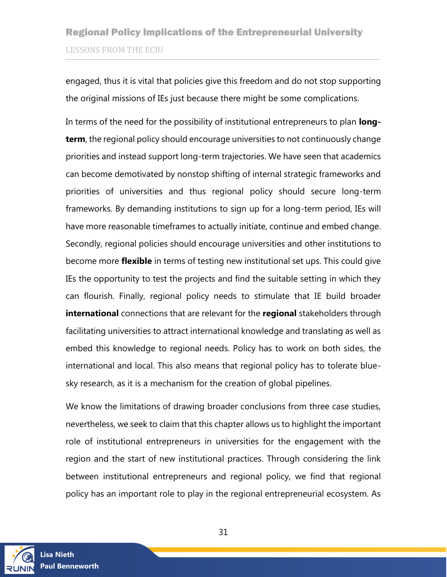engaged, thus it is vital that policies give this freedom and do not stop supporting the original missions of IEs just because there might be some complications.

In terms of the need for the possibility of institutional entrepreneurs to plan **longterm**, the regional policy should encourage universities to not continuously change priorities and instead support long-term trajectories. We have seen that academics can become demotivated by nonstop shifting of internal strategic frameworks and priorities of universities and thus regional policy should secure long-term frameworks. By demanding institutions to sign up for a long-term period, IEs will have more reasonable timeframes to actually initiate, continue and embed change. Secondly, regional policies should encourage universities and other institutions to become more **flexible** in terms of testing new institutional set ups. This could give IEs the opportunity to test the projects and find the suitable setting in which they can flourish. Finally, regional policy needs to stimulate that IE build broader **international** connections that are relevant for the **regional** stakeholders through facilitating universities to attract international knowledge and translating as well as embed this knowledge to regional needs. Policy has to work on both sides, the international and local. This also means that regional policy has to tolerate bluesky research, as it is a mechanism for the creation of global pipelines.

We know the limitations of drawing broader conclusions from three case studies, nevertheless, we seek to claim that this chapter allows us to highlight the important role of institutional entrepreneurs in universities for the engagement with the region and the start of new institutional practices. Through considering the link between institutional entrepreneurs and regional policy, we find that regional policy has an important role to play in the regional entrepreneurial ecosystem. As

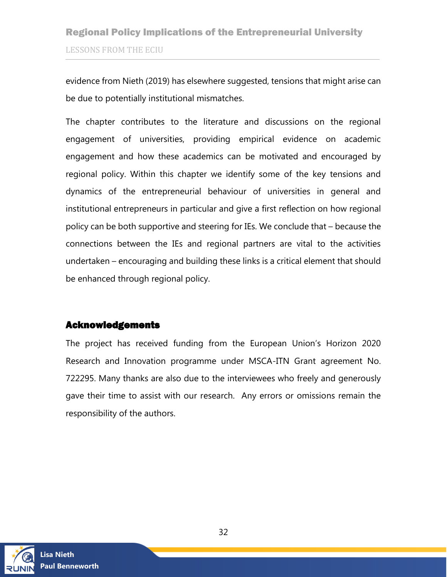evidence from Nieth (2019) has elsewhere suggested, tensions that might arise can be due to potentially institutional mismatches.

The chapter contributes to the literature and discussions on the regional engagement of universities, providing empirical evidence on academic engagement and how these academics can be motivated and encouraged by regional policy. Within this chapter we identify some of the key tensions and dynamics of the entrepreneurial behaviour of universities in general and institutional entrepreneurs in particular and give a first reflection on how regional policy can be both supportive and steering for IEs. We conclude that – because the connections between the IEs and regional partners are vital to the activities undertaken – encouraging and building these links is a critical element that should be enhanced through regional policy.

### <span id="page-31-0"></span>Acknowledgements

The project has received funding from the European Union's Horizon 2020 Research and Innovation programme under MSCA-ITN Grant agreement No. 722295. Many thanks are also due to the interviewees who freely and generously gave their time to assist with our research. Any errors or omissions remain the responsibility of the authors.



**Lisa Nieth Paul Benneworth**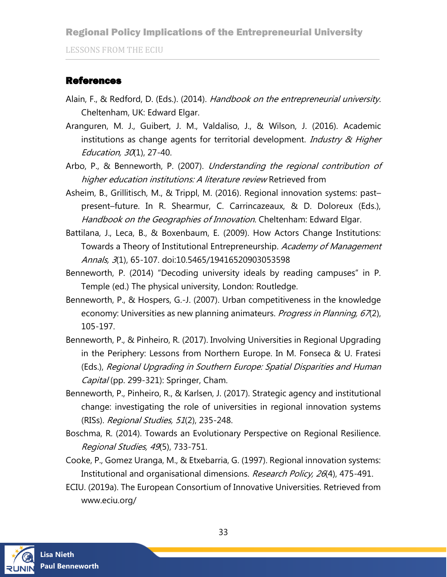LESSONS FROM THE ECIU

### <span id="page-32-0"></span>References

- Alain, F., & Redford, D. (Eds.). (2014). Handbook on the entrepreneurial university. Cheltenham, UK: Edward Elgar.
- Aranguren, M. J., Guibert, J. M., Valdaliso, J., & Wilson, J. (2016). Academic institutions as change agents for territorial development. Industry  $\alpha$  Higher Education, 30(1), 27-40.
- Arbo, P., & Benneworth, P. (2007). Understanding the regional contribution of higher education institutions: A literature review Retrieved from

Asheim, B., Grillitisch, M., & Trippl, M. (2016). Regional innovation systems: past– present–future. In R. Shearmur, C. Carrincazeaux, & D. Doloreux (Eds.), Handbook on the Geographies of Innovation. Cheltenham: Edward Elgar.

- Battilana, J., Leca, B., & Boxenbaum, E. (2009). How Actors Change Institutions: Towards a Theory of Institutional Entrepreneurship. Academy of Management Annals, 3(1), 65-107. doi:10.5465/19416520903053598
- Benneworth, P. (2014) "Decoding university ideals by reading campuses" in P. Temple (ed.) The physical university, London: Routledge.
- Benneworth, P., & Hospers, G.-J. (2007). Urban competitiveness in the knowledge economy: Universities as new planning animateurs. *Progress in Planning, 67*(2), 105-197.
- Benneworth, P., & Pinheiro, R. (2017). Involving Universities in Regional Upgrading in the Periphery: Lessons from Northern Europe. In M. Fonseca & U. Fratesi (Eds.), Regional Upgrading in Southern Europe: Spatial Disparities and Human Capital (pp. 299-321): Springer, Cham.
- Benneworth, P., Pinheiro, R., & Karlsen, J. (2017). Strategic agency and institutional change: investigating the role of universities in regional innovation systems (RISs). Regional Studies, 51(2), 235-248.
- Boschma, R. (2014). Towards an Evolutionary Perspective on Regional Resilience. Regional Studies, 49(5), 733-751.
- Cooke, P., Gomez Uranga, M., & Etxebarria, G. (1997). Regional innovation systems: Institutional and organisational dimensions. Research Policy, 26(4), 475-491.
- ECIU. (2019a). The European Consortium of Innovative Universities. Retrieved from www.eciu.org/

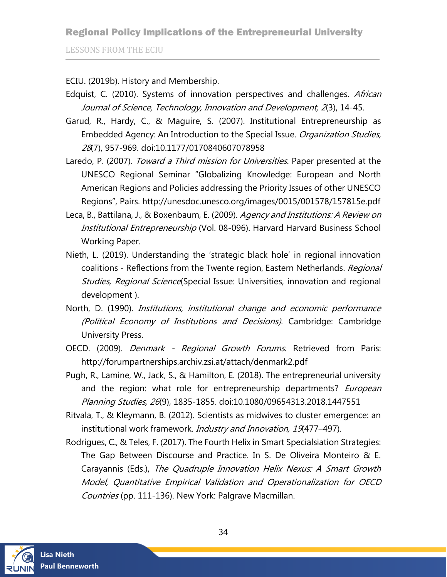### Regional Policy Implications of the Entrepreneurial University

LESSONS FROM THE ECIU

ECIU. (2019b). History and Membership.

- Edquist, C. (2010). Systems of innovation perspectives and challenges. African Journal of Science, Technology, Innovation and Development, 2(3), 14-45.
- Garud, R., Hardy, C., & Maguire, S. (2007). Institutional Entrepreneurship as Embedded Agency: An Introduction to the Special Issue. Organization Studies, 28(7), 957-969. doi:10.1177/0170840607078958
- Laredo, P. (2007). Toward a Third mission for Universities. Paper presented at the UNESCO Regional Seminar "Globalizing Knowledge: European and North American Regions and Policies addressing the Priority Issues of other UNESCO Regions", Pairs. http://unesdoc.unesco.org/images/0015/001578/157815e.pdf
- Leca, B., Battilana, J., & Boxenbaum, E. (2009). Agency and Institutions: A Review on Institutional Entrepreneurship (Vol. 08-096). Harvard Harvard Business School Working Paper.
- Nieth, L. (2019). Understanding the 'strategic black hole' in regional innovation coalitions - Reflections from the Twente region, Eastern Netherlands. Regional Studies, Regional Science(Special Issue: Universities, innovation and regional development ).
- North, D. (1990). *Institutions, institutional change and economic performance* (Political Economy of Institutions and Decisions). Cambridge: Cambridge University Press.
- OECD. (2009). *Denmark Regional Growth Forums*. Retrieved from Paris: http://forumpartnerships.archiv.zsi.at/attach/denmark2.pdf
- Pugh, R., Lamine, W., Jack, S., & Hamilton, E. (2018). The entrepreneurial university and the region: what role for entrepreneurship departments? *European* Planning Studies, 26(9), 1835-1855. doi:10.1080/09654313.2018.1447551
- Ritvala, T., & Kleymann, B. (2012). Scientists as midwives to cluster emergence: an institutional work framework. *Industry and Innovation*, 19(477-497).
- Rodrigues, C., & Teles, F. (2017). The Fourth Helix in Smart Specialsiation Strategies: The Gap Between Discourse and Practice. In S. De Oliveira Monteiro & E. Carayannis (Eds.), The Quadruple Innovation Helix Nexus: A Smart Growth Model, Quantitative Empirical Validation and Operationalization for OECD Countries (pp. 111-136). New York: Palgrave Macmillan.